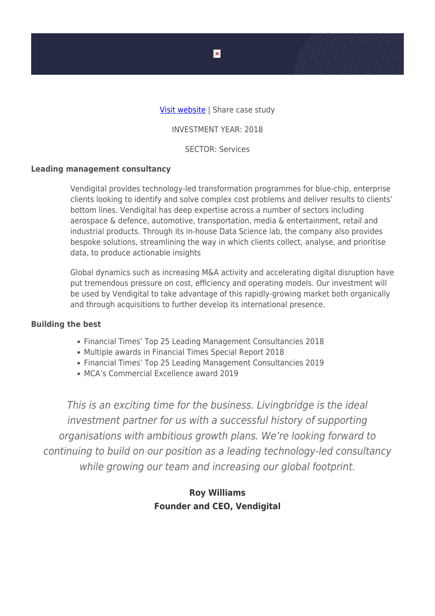### [Visit website](https://vendigital.com/) | Share case study

INVESTMENT YEAR: 2018

SECTOR: Services

#### **Leading management consultancy**

Vendigital provides technology-led transformation programmes for blue-chip, enterprise clients looking to identify and solve complex cost problems and deliver results to clients' bottom lines. Vendigital has deep expertise across a number of sectors including aerospace & defence, automotive, transportation, media & entertainment, retail and industrial products. Through its in-house Data Science lab, the company also provides bespoke solutions, streamlining the way in which clients collect, analyse, and prioritise data, to produce actionable insights

Global dynamics such as increasing M&A activity and accelerating digital disruption have put tremendous pressure on cost, efficiency and operating models. Our investment will be used by Vendigital to take advantage of this rapidly-growing market both organically and through acquisitions to further develop its international presence.

#### **Building the best**

- Financial Times' Top 25 Leading Management Consultancies 2018
- Multiple awards in Financial Times Special Report 2018
- Financial Times' Top 25 Leading Management Consultancies 2019
- MCA's Commercial Excellence award 2019

This is an exciting time for the business. Livingbridge is the ideal investment partner for us with a successful history of supporting organisations with ambitious growth plans. We're looking forward to continuing to build on our position as a leading technology-led consultancy while growing our team and increasing our global footprint.

## **Roy Williams Founder and CEO, Vendigital**